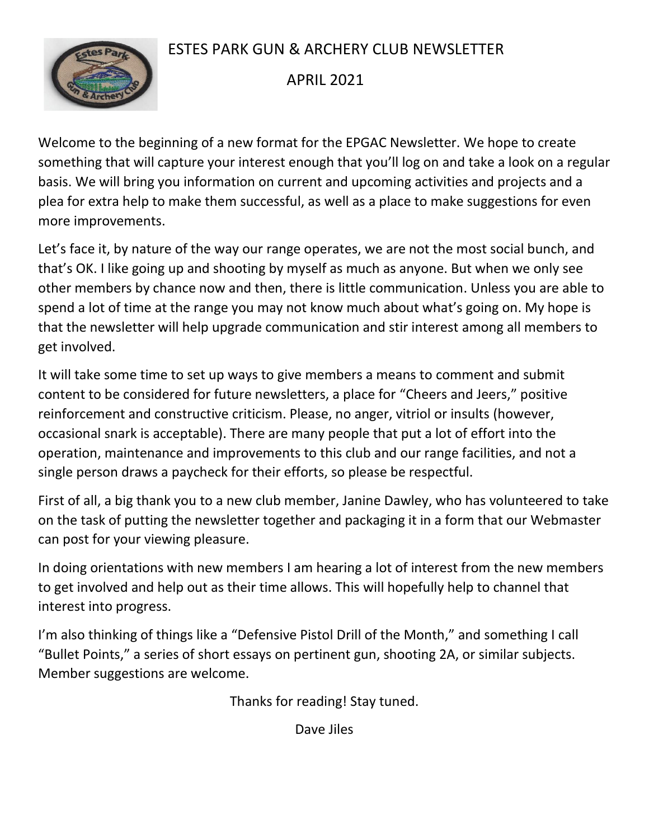# ESTES PARK GUN & ARCHERY CLUB NEWSLETTER



# APRIL 2021

Welcome to the beginning of a new format for the EPGAC Newsletter. We hope to create something that will capture your interest enough that you'll log on and take a look on a regular basis. We will bring you information on current and upcoming activities and projects and a plea for extra help to make them successful, as well as a place to make suggestions for even more improvements.

Let's face it, by nature of the way our range operates, we are not the most social bunch, and that's OK. I like going up and shooting by myself as much as anyone. But when we only see other members by chance now and then, there is little communication. Unless you are able to spend a lot of time at the range you may not know much about what's going on. My hope is that the newsletter will help upgrade communication and stir interest among all members to get involved.

It will take some time to set up ways to give members a means to comment and submit content to be considered for future newsletters, a place for "Cheers and Jeers," positive reinforcement and constructive criticism. Please, no anger, vitriol or insults (however, occasional snark is acceptable). There are many people that put a lot of effort into the operation, maintenance and improvements to this club and our range facilities, and not a single person draws a paycheck for their efforts, so please be respectful.

First of all, a big thank you to a new club member, Janine Dawley, who has volunteered to take on the task of putting the newsletter together and packaging it in a form that our Webmaster can post for your viewing pleasure.

In doing orientations with new members I am hearing a lot of interest from the new members to get involved and help out as their time allows. This will hopefully help to channel that interest into progress.

I'm also thinking of things like a "Defensive Pistol Drill of the Month," and something I call "Bullet Points," a series of short essays on pertinent gun, shooting 2A, or similar subjects. Member suggestions are welcome.

Thanks for reading! Stay tuned.

Dave Jiles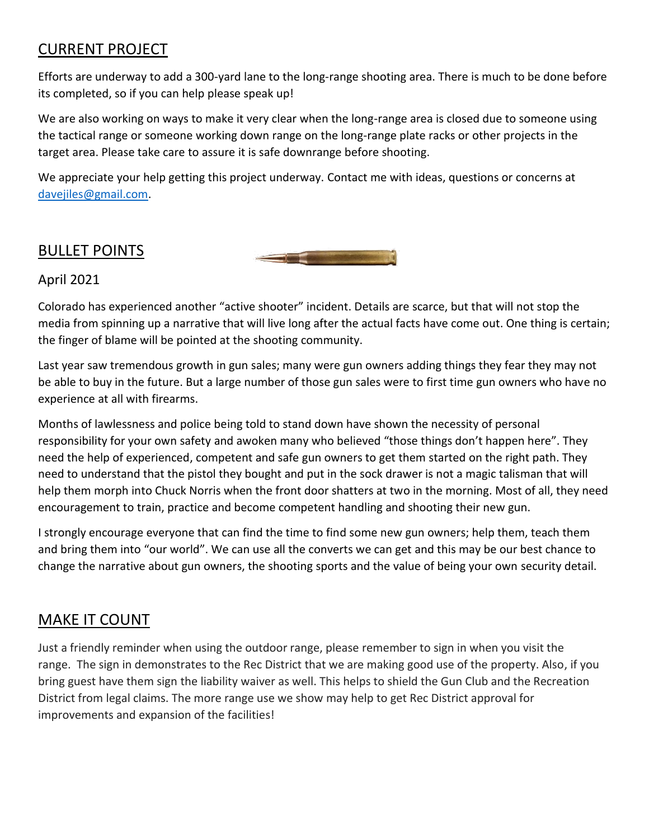## CURRENT PROJECT

Efforts are underway to add a 300-yard lane to the long-range shooting area. There is much to be done before its completed, so if you can help please speak up!

We are also working on ways to make it very clear when the long-range area is closed due to someone using the tactical range or someone working down range on the long-range plate racks or other projects in the target area. Please take care to assure it is safe downrange before shooting.

We appreciate your help getting this project underway. Contact me with ideas, questions or concerns at [davejiles@gmail.com.](mailto:davejiles@gmail.com?subject=EPGAC)

### BULLET POINTS

April 2021

Colorado has experienced another "active shooter" i[ncident. D](https://creativecommons.org/licenses/by-nc/3.0/)etails are scarce, but that will not stop the media from spinning up a narrative that will live long after the actual facts have come out. One thing is certain; the finger of blame will be pointed at the shooting community.

Last year saw tremendous growth in gun sales; many were gun owners adding things they fear they may not be able to buy in the future. But a large number of those gun sales were to first time gun owners who have no experience at all with firearms.

Months of lawlessness and police being told to stand down have shown the necessity of personal responsibility for your own safety and awoken many who believed "those things don't happen here". They need the help of experienced, competent and safe gun owners to get them started on the right path. They need to understand that the pistol they bought and put in the sock drawer is not a magic talisman that will help them morph into Chuck Norris when the front door shatters at two in the morning. Most of all, they need encouragement to train, practice and become competent handling and shooting their new gun.

I strongly encourage everyone that can find the time to find some new gun owners; help them, teach them and bring them into "our world". We can use all the converts we can get and this may be our best chance to change the narrative about gun owners, the shooting sports and the value of being your own security detail.

#### MAKE IT COUNT

Just a friendly reminder when using the outdoor range, please remember to sign in when you visit the range. The sign in demonstrates to the Rec District that we are making good use of the property. Also, if you bring guest have them sign the liability waiver as well. This helps to shield the Gun Club and the Recreation District from legal claims. The more range use we show may help to get Rec District approval for improvements and expansion of the facilities!